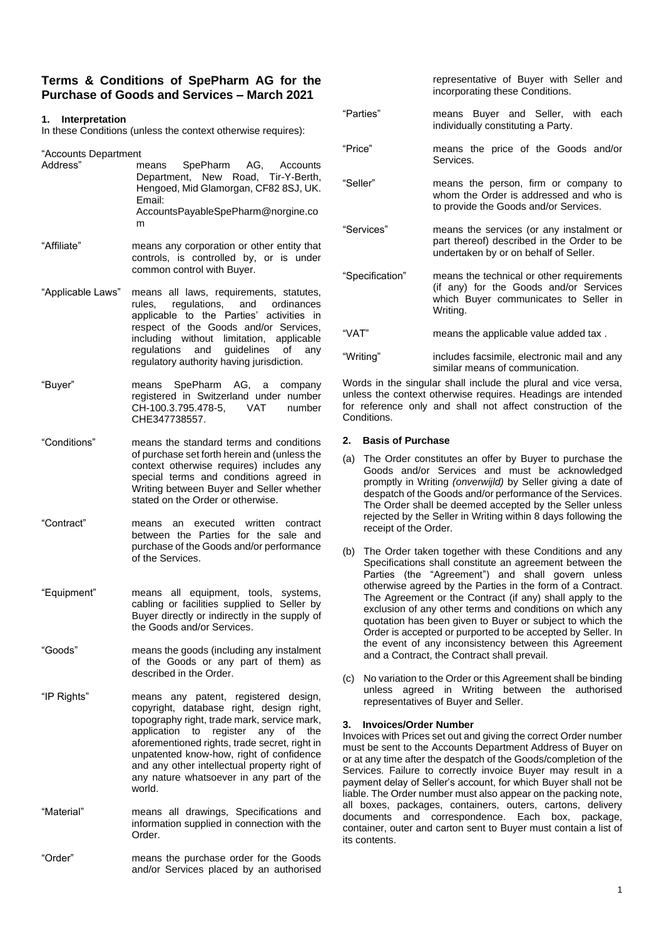# **Terms & Conditions of SpePharm AG for the Purchase of Goods and Services – March 2021**

# **1. Interpretation**

In these Conditions (unless the context otherwise requires):

"Accounts Department

| Address"    | means SpePharm AG, Accounts<br>Department, New Road, Tir-Y-Berth,<br>Hengoed, Mid Glamorgan, CF82 8SJ, UK.<br>Email:<br>AccountsPayableSpePharm@norgine.co<br>m |
|-------------|-----------------------------------------------------------------------------------------------------------------------------------------------------------------|
| "Affiliate" | means any corporation or other entity that<br>controls, is controlled by, or is under<br>common control with Buyer.                                             |
|             | "Applicable Laws" means all laws, requirements, statutes,                                                                                                       |

- rules, regulations, and ordinances applicable to the Parties' activities in respect of the Goods and/or Services, including without limitation, applicable regulations and guidelines of any regulatory authority having jurisdiction.
- "Buyer" means SpePharm AG, a company registered in Switzerland under number<br>CH-100.3.795.478-5. VAT number  $CH-100.3.795.478-5.$ CHE347738557.
- "Conditions" means the standard terms and conditions of purchase set forth herein and (unless the context otherwise requires) includes any special terms and conditions agreed in Writing between Buyer and Seller whether stated on the Order or otherwise.
- "Contract" means an executed written contract between the Parties for the sale and purchase of the Goods and/or performance of the Services.
- "Equipment" means all equipment, tools, systems, cabling or facilities supplied to Seller by Buyer directly or indirectly in the supply of the Goods and/or Services.
- "Goods" means the goods (including any instalment of the Goods or any part of them) as described in the Order.
- "IP Rights" means any patent, registered design, copyright, database right, design right, topography right, trade mark, service mark, application to register any of the aforementioned rights, trade secret, right in unpatented know-how, right of confidence and any other intellectual property right of any nature whatsoever in any part of the world.
- "Material" means all drawings, Specifications and information supplied in connection with the Order.
- "Order" means the purchase order for the Goods and/or Services placed by an authorised

| "Parties"       | means Buyer and Seller, with each<br>individually constituting a Party.                                                                  |
|-----------------|------------------------------------------------------------------------------------------------------------------------------------------|
| "Price"         | means the price of the Goods and/or<br>Services.                                                                                         |
| "Seller"        | means the person, firm or company to<br>whom the Order is addressed and who is<br>to provide the Goods and/or Services.                  |
| "Services"      | means the services (or any instalment or<br>part thereof) described in the Order to be<br>undertaken by or on behalf of Seller.          |
| "Specification" | means the technical or other requirements<br>(if any) for the Goods and/or Services<br>which Buyer communicates to Seller in<br>Writing. |
| "VAT"           | means the applicable value added tax.                                                                                                    |
| "Writing"       | includes facsimile, electronic mail and any                                                                                              |

representative of Buyer with Seller and

incorporating these Conditions.

Words in the singular shall include the plural and vice versa, unless the context otherwise requires. Headings are intended for reference only and shall not affect construction of the **Conditions** 

similar means of communication.

## **2. Basis of Purchase**

- (a) The Order constitutes an offer by Buyer to purchase the Goods and/or Services and must be acknowledged promptly in Writing *(onverwijld)* by Seller giving a date of despatch of the Goods and/or performance of the Services. The Order shall be deemed accepted by the Seller unless rejected by the Seller in Writing within 8 days following the receipt of the Order.
- (b) The Order taken together with these Conditions and any Specifications shall constitute an agreement between the Parties (the "Agreement") and shall govern unless otherwise agreed by the Parties in the form of a Contract. The Agreement or the Contract (if any) shall apply to the exclusion of any other terms and conditions on which any quotation has been given to Buyer or subject to which the Order is accepted or purported to be accepted by Seller. In the event of any inconsistency between this Agreement and a Contract, the Contract shall prevail.
- (c) No variation to the Order or this Agreement shall be binding unless agreed in Writing between the authorised representatives of Buyer and Seller.

# **3. Invoices/Order Number**

Invoices with Prices set out and giving the correct Order number must be sent to the Accounts Department Address of Buyer on or at any time after the despatch of the Goods/completion of the Services. Failure to correctly invoice Buyer may result in a payment delay of Seller's account, for which Buyer shall not be liable. The Order number must also appear on the packing note, all boxes, packages, containers, outers, cartons, delivery documents and correspondence. Each box, package, container, outer and carton sent to Buyer must contain a list of its contents.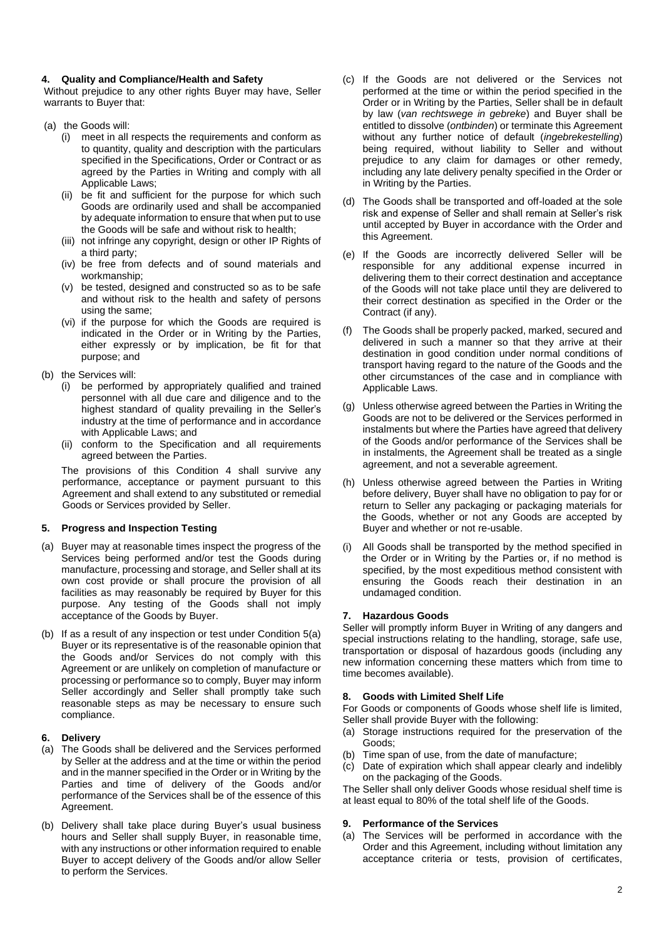## **4. Quality and Compliance/Health and Safety**

Without prejudice to any other rights Buyer may have, Seller warrants to Buyer that:

- (a) the Goods will:
	- (i) meet in all respects the requirements and conform as to quantity, quality and description with the particulars specified in the Specifications, Order or Contract or as agreed by the Parties in Writing and comply with all Applicable Laws;
	- (ii) be fit and sufficient for the purpose for which such Goods are ordinarily used and shall be accompanied by adequate information to ensure that when put to use the Goods will be safe and without risk to health;
	- (iii) not infringe any copyright, design or other IP Rights of a third party;
	- (iv) be free from defects and of sound materials and workmanship;
	- (v) be tested, designed and constructed so as to be safe and without risk to the health and safety of persons using the same;
	- (vi) if the purpose for which the Goods are required is indicated in the Order or in Writing by the Parties, either expressly or by implication, be fit for that purpose; and
- (b) the Services will:
	- (i) be performed by appropriately qualified and trained personnel with all due care and diligence and to the highest standard of quality prevailing in the Seller's industry at the time of performance and in accordance with Applicable Laws; and
	- (ii) conform to the Specification and all requirements agreed between the Parties.

The provisions of this Condition 4 shall survive any performance, acceptance or payment pursuant to this Agreement and shall extend to any substituted or remedial Goods or Services provided by Seller.

# **5. Progress and Inspection Testing**

- (a) Buyer may at reasonable times inspect the progress of the Services being performed and/or test the Goods during manufacture, processing and storage, and Seller shall at its own cost provide or shall procure the provision of all facilities as may reasonably be required by Buyer for this purpose. Any testing of the Goods shall not imply acceptance of the Goods by Buyer.
- (b) If as a result of any inspection or test under Condition 5(a) Buyer or its representative is of the reasonable opinion that the Goods and/or Services do not comply with this Agreement or are unlikely on completion of manufacture or processing or performance so to comply, Buyer may inform Seller accordingly and Seller shall promptly take such reasonable steps as may be necessary to ensure such compliance.

# **6. Delivery**

- (a) The Goods shall be delivered and the Services performed by Seller at the address and at the time or within the period and in the manner specified in the Order or in Writing by the Parties and time of delivery of the Goods and/or performance of the Services shall be of the essence of this Agreement.
- (b) Delivery shall take place during Buyer's usual business hours and Seller shall supply Buyer, in reasonable time, with any instructions or other information required to enable Buyer to accept delivery of the Goods and/or allow Seller to perform the Services.
- (c) If the Goods are not delivered or the Services not performed at the time or within the period specified in the Order or in Writing by the Parties, Seller shall be in default by law (*van rechtswege in gebreke*) and Buyer shall be entitled to dissolve (*ontbinden*) or terminate this Agreement without any further notice of default (*ingebrekestelling*) being required, without liability to Seller and without prejudice to any claim for damages or other remedy, including any late delivery penalty specified in the Order or in Writing by the Parties.
- (d) The Goods shall be transported and off-loaded at the sole risk and expense of Seller and shall remain at Seller's risk until accepted by Buyer in accordance with the Order and this Agreement.
- (e) If the Goods are incorrectly delivered Seller will be responsible for any additional expense incurred in delivering them to their correct destination and acceptance of the Goods will not take place until they are delivered to their correct destination as specified in the Order or the Contract (if any).
- (f) The Goods shall be properly packed, marked, secured and delivered in such a manner so that they arrive at their destination in good condition under normal conditions of transport having regard to the nature of the Goods and the other circumstances of the case and in compliance with Applicable Laws.
- (g) Unless otherwise agreed between the Parties in Writing the Goods are not to be delivered or the Services performed in instalments but where the Parties have agreed that delivery of the Goods and/or performance of the Services shall be in instalments, the Agreement shall be treated as a single agreement, and not a severable agreement.
- (h) Unless otherwise agreed between the Parties in Writing before delivery, Buyer shall have no obligation to pay for or return to Seller any packaging or packaging materials for the Goods, whether or not any Goods are accepted by Buyer and whether or not re-usable.
- All Goods shall be transported by the method specified in the Order or in Writing by the Parties or, if no method is specified, by the most expeditious method consistent with ensuring the Goods reach their destination in an undamaged condition.

# **7. Hazardous Goods**

Seller will promptly inform Buyer in Writing of any dangers and special instructions relating to the handling, storage, safe use, transportation or disposal of hazardous goods (including any new information concerning these matters which from time to time becomes available).

## **8. Goods with Limited Shelf Life**

For Goods or components of Goods whose shelf life is limited, Seller shall provide Buyer with the following:

- (a) Storage instructions required for the preservation of the Goods;
- (b) Time span of use, from the date of manufacture;
- (c) Date of expiration which shall appear clearly and indelibly on the packaging of the Goods.

The Seller shall only deliver Goods whose residual shelf time is at least equal to 80% of the total shelf life of the Goods.

## **9. Performance of the Services**

(a) The Services will be performed in accordance with the Order and this Agreement, including without limitation any acceptance criteria or tests, provision of certificates,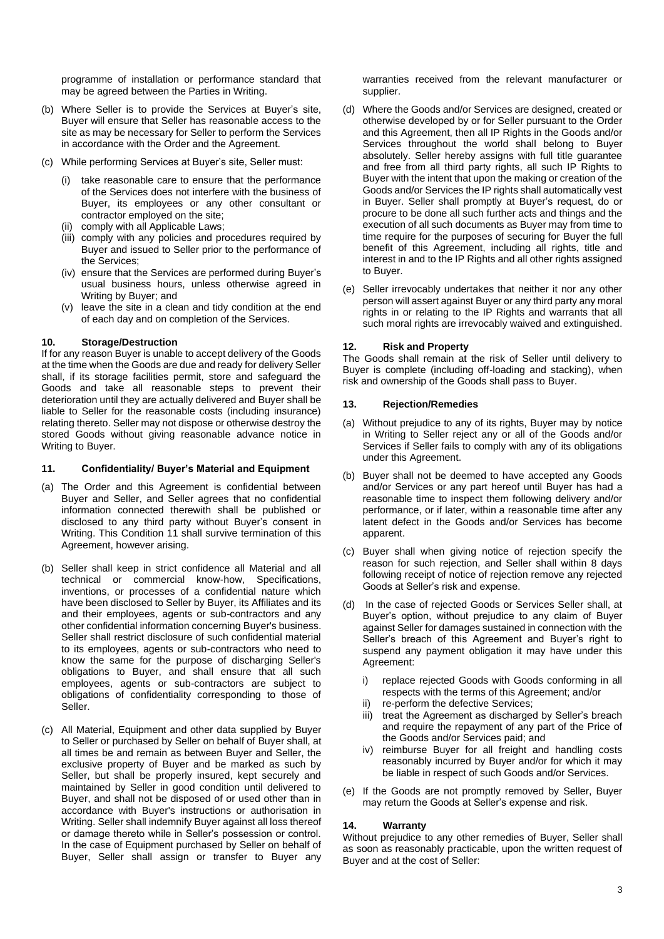programme of installation or performance standard that may be agreed between the Parties in Writing.

- (b) Where Seller is to provide the Services at Buyer's site, Buyer will ensure that Seller has reasonable access to the site as may be necessary for Seller to perform the Services in accordance with the Order and the Agreement.
- (c) While performing Services at Buyer's site, Seller must:
	- (i) take reasonable care to ensure that the performance of the Services does not interfere with the business of Buyer, its employees or any other consultant or contractor employed on the site;
	- (ii) comply with all Applicable Laws;
	- (iii) comply with any policies and procedures required by Buyer and issued to Seller prior to the performance of the Services;
	- (iv) ensure that the Services are performed during Buyer's usual business hours, unless otherwise agreed in Writing by Buyer; and
	- (v) leave the site in a clean and tidy condition at the end of each day and on completion of the Services.

## **10. Storage/Destruction**

If for any reason Buyer is unable to accept delivery of the Goods at the time when the Goods are due and ready for delivery Seller shall, if its storage facilities permit, store and safeguard the Goods and take all reasonable steps to prevent their deterioration until they are actually delivered and Buyer shall be liable to Seller for the reasonable costs (including insurance) relating thereto. Seller may not dispose or otherwise destroy the stored Goods without giving reasonable advance notice in Writing to Buyer.

## **11. Confidentiality/ Buyer's Material and Equipment**

- (a) The Order and this Agreement is confidential between Buyer and Seller, and Seller agrees that no confidential information connected therewith shall be published or disclosed to any third party without Buyer's consent in Writing. This Condition 11 shall survive termination of this Agreement, however arising.
- (b) Seller shall keep in strict confidence all Material and all technical or commercial know-how, Specifications, inventions, or processes of a confidential nature which have been disclosed to Seller by Buyer, its Affiliates and its and their employees, agents or sub-contractors and any other confidential information concerning Buyer's business. Seller shall restrict disclosure of such confidential material to its employees, agents or sub-contractors who need to know the same for the purpose of discharging Seller's obligations to Buyer, and shall ensure that all such employees, agents or sub-contractors are subject to obligations of confidentiality corresponding to those of Seller.
- (c) All Material, Equipment and other data supplied by Buyer to Seller or purchased by Seller on behalf of Buyer shall, at all times be and remain as between Buyer and Seller, the exclusive property of Buyer and be marked as such by Seller, but shall be properly insured, kept securely and maintained by Seller in good condition until delivered to Buyer, and shall not be disposed of or used other than in accordance with Buyer's instructions or authorisation in Writing. Seller shall indemnify Buyer against all loss thereof or damage thereto while in Seller's possession or control. In the case of Equipment purchased by Seller on behalf of Buyer, Seller shall assign or transfer to Buyer any

warranties received from the relevant manufacturer or supplier.

- (d) Where the Goods and/or Services are designed, created or otherwise developed by or for Seller pursuant to the Order and this Agreement, then all IP Rights in the Goods and/or Services throughout the world shall belong to Buyer absolutely. Seller hereby assigns with full title guarantee and free from all third party rights, all such IP Rights to Buyer with the intent that upon the making or creation of the Goods and/or Services the IP rights shall automatically vest in Buyer. Seller shall promptly at Buyer's request, do or procure to be done all such further acts and things and the execution of all such documents as Buyer may from time to time require for the purposes of securing for Buyer the full benefit of this Agreement, including all rights, title and interest in and to the IP Rights and all other rights assigned to Buyer.
- (e) Seller irrevocably undertakes that neither it nor any other person will assert against Buyer or any third party any moral rights in or relating to the IP Rights and warrants that all such moral rights are irrevocably waived and extinguished.

## **12. Risk and Property**

The Goods shall remain at the risk of Seller until delivery to Buyer is complete (including off-loading and stacking), when risk and ownership of the Goods shall pass to Buyer.

#### **13. Rejection/Remedies**

- (a) Without prejudice to any of its rights, Buyer may by notice in Writing to Seller reject any or all of the Goods and/or Services if Seller fails to comply with any of its obligations under this Agreement.
- (b) Buyer shall not be deemed to have accepted any Goods and/or Services or any part hereof until Buyer has had a reasonable time to inspect them following delivery and/or performance, or if later, within a reasonable time after any latent defect in the Goods and/or Services has become apparent.
- (c) Buyer shall when giving notice of rejection specify the reason for such rejection, and Seller shall within 8 days following receipt of notice of rejection remove any rejected Goods at Seller's risk and expense.
- (d) In the case of rejected Goods or Services Seller shall, at Buyer's option, without prejudice to any claim of Buyer against Seller for damages sustained in connection with the Seller's breach of this Agreement and Buyer's right to suspend any payment obligation it may have under this Agreement:
	- i) replace rejected Goods with Goods conforming in all respects with the terms of this Agreement; and/or
	- ii) re-perform the defective Services;
	- iii) treat the Agreement as discharged by Seller's breach and require the repayment of any part of the Price of the Goods and/or Services paid; and
	- iv) reimburse Buyer for all freight and handling costs reasonably incurred by Buyer and/or for which it may be liable in respect of such Goods and/or Services.
- (e) If the Goods are not promptly removed by Seller, Buyer may return the Goods at Seller's expense and risk.

#### **14. Warranty**

Without prejudice to any other remedies of Buyer, Seller shall as soon as reasonably practicable, upon the written request of Buyer and at the cost of Seller: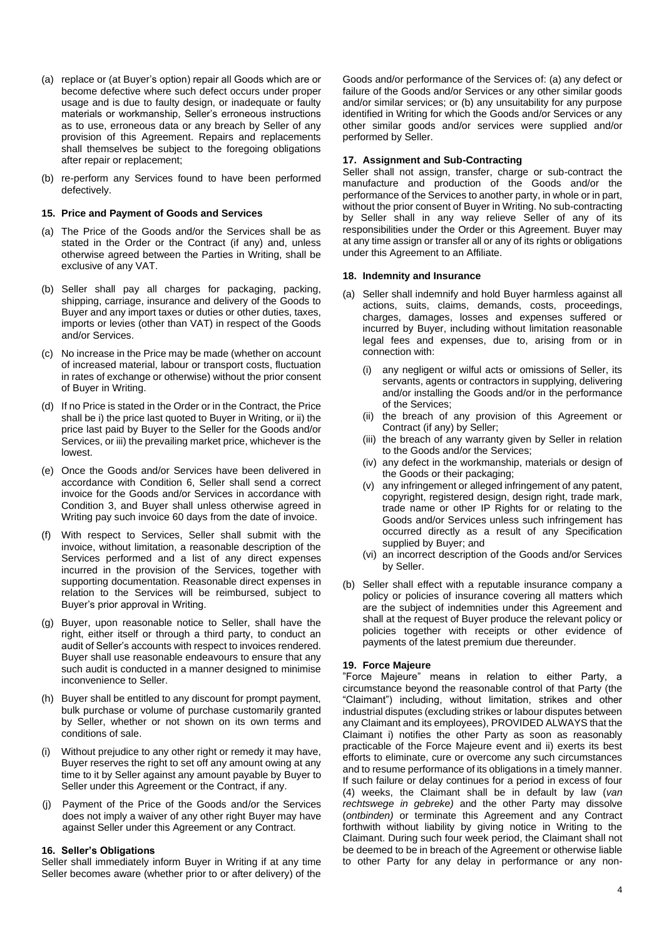- (a) replace or (at Buyer's option) repair all Goods which are or become defective where such defect occurs under proper usage and is due to faulty design, or inadequate or faulty materials or workmanship, Seller's erroneous instructions as to use, erroneous data or any breach by Seller of any provision of this Agreement. Repairs and replacements shall themselves be subject to the foregoing obligations after repair or replacement;
- (b) re-perform any Services found to have been performed defectively.

## **15. Price and Payment of Goods and Services**

- (a) The Price of the Goods and/or the Services shall be as stated in the Order or the Contract (if any) and, unless otherwise agreed between the Parties in Writing, shall be exclusive of any VAT.
- (b) Seller shall pay all charges for packaging, packing, shipping, carriage, insurance and delivery of the Goods to Buyer and any import taxes or duties or other duties, taxes, imports or levies (other than VAT) in respect of the Goods and/or Services.
- (c) No increase in the Price may be made (whether on account of increased material, labour or transport costs, fluctuation in rates of exchange or otherwise) without the prior consent of Buyer in Writing.
- (d) If no Price is stated in the Order or in the Contract, the Price shall be i) the price last quoted to Buyer in Writing, or ii) the price last paid by Buyer to the Seller for the Goods and/or Services, or iii) the prevailing market price, whichever is the lowest.
- (e) Once the Goods and/or Services have been delivered in accordance with Condition 6, Seller shall send a correct invoice for the Goods and/or Services in accordance with Condition 3, and Buyer shall unless otherwise agreed in Writing pay such invoice 60 days from the date of invoice.
- (f) With respect to Services, Seller shall submit with the invoice, without limitation, a reasonable description of the Services performed and a list of any direct expenses incurred in the provision of the Services, together with supporting documentation. Reasonable direct expenses in relation to the Services will be reimbursed, subject to Buyer's prior approval in Writing.
- (g) Buyer, upon reasonable notice to Seller, shall have the right, either itself or through a third party, to conduct an audit of Seller's accounts with respect to invoices rendered. Buyer shall use reasonable endeavours to ensure that any such audit is conducted in a manner designed to minimise inconvenience to Seller.
- (h) Buyer shall be entitled to any discount for prompt payment, bulk purchase or volume of purchase customarily granted by Seller, whether or not shown on its own terms and conditions of sale.
- (i) Without prejudice to any other right or remedy it may have, Buyer reserves the right to set off any amount owing at any time to it by Seller against any amount payable by Buyer to Seller under this Agreement or the Contract, if any.
- (j) Payment of the Price of the Goods and/or the Services does not imply a waiver of any other right Buyer may have against Seller under this Agreement or any Contract.

#### **16. Seller's Obligations**

Seller shall immediately inform Buyer in Writing if at any time Seller becomes aware (whether prior to or after delivery) of the

Goods and/or performance of the Services of: (a) any defect or failure of the Goods and/or Services or any other similar goods and/or similar services; or (b) any unsuitability for any purpose identified in Writing for which the Goods and/or Services or any other similar goods and/or services were supplied and/or performed by Seller.

### **17. Assignment and Sub-Contracting**

Seller shall not assign, transfer, charge or sub-contract the manufacture and production of the Goods and/or the performance of the Services to another party, in whole or in part, without the prior consent of Buyer in Writing. No sub-contracting by Seller shall in any way relieve Seller of any of its responsibilities under the Order or this Agreement. Buyer may at any time assign or transfer all or any of its rights or obligations under this Agreement to an Affiliate.

#### **18. Indemnity and Insurance**

- (a) Seller shall indemnify and hold Buyer harmless against all actions, suits, claims, demands, costs, proceedings, charges, damages, losses and expenses suffered or incurred by Buyer, including without limitation reasonable legal fees and expenses, due to, arising from or in connection with:
	- (i) any negligent or wilful acts or omissions of Seller, its servants, agents or contractors in supplying, delivering and/or installing the Goods and/or in the performance of the Services;
	- (ii) the breach of any provision of this Agreement or Contract (if any) by Seller;
	- (iii) the breach of any warranty given by Seller in relation to the Goods and/or the Services;
	- (iv) any defect in the workmanship, materials or design of the Goods or their packaging;
	- (v) any infringement or alleged infringement of any patent, copyright, registered design, design right, trade mark, trade name or other IP Rights for or relating to the Goods and/or Services unless such infringement has occurred directly as a result of any Specification supplied by Buyer; and
	- (vi) an incorrect description of the Goods and/or Services by Seller.
- (b) Seller shall effect with a reputable insurance company a policy or policies of insurance covering all matters which are the subject of indemnities under this Agreement and shall at the request of Buyer produce the relevant policy or policies together with receipts or other evidence of payments of the latest premium due thereunder.

#### **19. Force Majeure**

"Force Majeure" means in relation to either Party, a circumstance beyond the reasonable control of that Party (the "Claimant") including, without limitation, strikes and other industrial disputes (excluding strikes or labour disputes between any Claimant and its employees), PROVIDED ALWAYS that the Claimant i) notifies the other Party as soon as reasonably practicable of the Force Majeure event and ii) exerts its best efforts to eliminate, cure or overcome any such circumstances and to resume performance of its obligations in a timely manner. If such failure or delay continues for a period in excess of four (4) weeks, the Claimant shall be in default by law (*van rechtswege in gebreke)* and the other Party may dissolve (*ontbinden)* or terminate this Agreement and any Contract forthwith without liability by giving notice in Writing to the Claimant. During such four week period, the Claimant shall not be deemed to be in breach of the Agreement or otherwise liable to other Party for any delay in performance or any non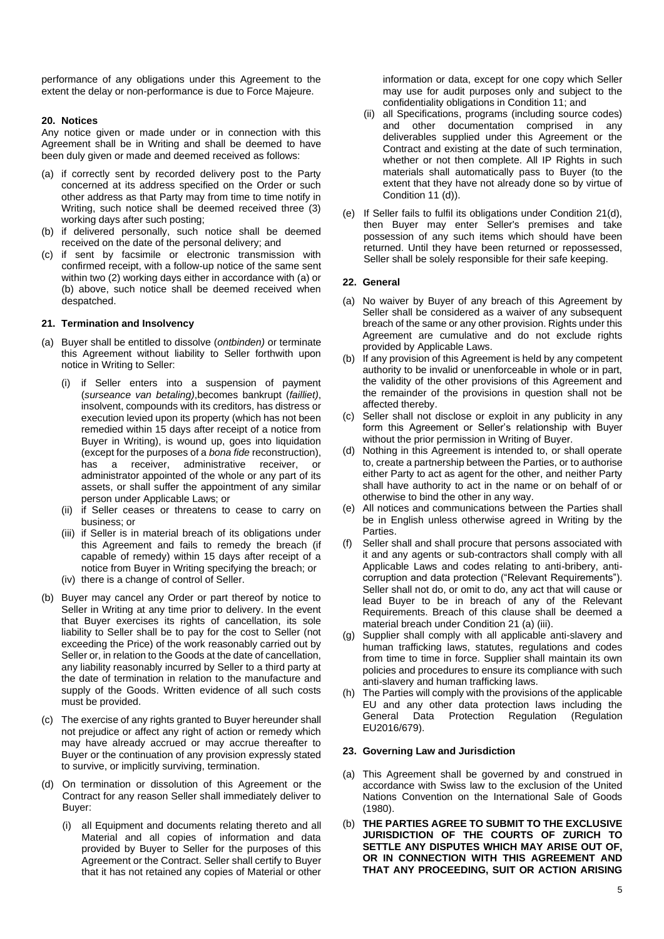performance of any obligations under this Agreement to the extent the delay or non-performance is due to Force Majeure.

## **20. Notices**

Any notice given or made under or in connection with this Agreement shall be in Writing and shall be deemed to have been duly given or made and deemed received as follows:

- (a) if correctly sent by recorded delivery post to the Party concerned at its address specified on the Order or such other address as that Party may from time to time notify in Writing, such notice shall be deemed received three (3) working days after such posting;
- (b) if delivered personally, such notice shall be deemed received on the date of the personal delivery; and
- (c) if sent by facsimile or electronic transmission with confirmed receipt, with a follow-up notice of the same sent within two (2) working days either in accordance with (a) or (b) above, such notice shall be deemed received when despatched.

## **21. Termination and Insolvency**

- (a) Buyer shall be entitled to dissolve (*ontbinden)* or terminate this Agreement without liability to Seller forthwith upon notice in Writing to Seller:
	- (i) if Seller enters into a suspension of payment (*surseance van betaling)*,becomes bankrupt (*failliet)*, insolvent, compounds with its creditors, has distress or execution levied upon its property (which has not been remedied within 15 days after receipt of a notice from Buyer in Writing), is wound up, goes into liquidation (except for the purposes of a *bona fide* reconstruction), has a receiver, administrative receiver, or administrator appointed of the whole or any part of its assets, or shall suffer the appointment of any similar person under Applicable Laws; or
	- (ii) if Seller ceases or threatens to cease to carry on business; or
	- (iii) if Seller is in material breach of its obligations under this Agreement and fails to remedy the breach (if capable of remedy) within 15 days after receipt of a notice from Buyer in Writing specifying the breach; or
	- (iv) there is a change of control of Seller.
- (b) Buyer may cancel any Order or part thereof by notice to Seller in Writing at any time prior to delivery. In the event that Buyer exercises its rights of cancellation, its sole liability to Seller shall be to pay for the cost to Seller (not exceeding the Price) of the work reasonably carried out by Seller or, in relation to the Goods at the date of cancellation, any liability reasonably incurred by Seller to a third party at the date of termination in relation to the manufacture and supply of the Goods. Written evidence of all such costs must be provided.
- (c) The exercise of any rights granted to Buyer hereunder shall not prejudice or affect any right of action or remedy which may have already accrued or may accrue thereafter to Buyer or the continuation of any provision expressly stated to survive, or implicitly surviving, termination.
- (d) On termination or dissolution of this Agreement or the Contract for any reason Seller shall immediately deliver to Buyer:
	- (i) all Equipment and documents relating thereto and all Material and all copies of information and data provided by Buyer to Seller for the purposes of this Agreement or the Contract. Seller shall certify to Buyer that it has not retained any copies of Material or other

information or data, except for one copy which Seller may use for audit purposes only and subject to the confidentiality obligations in Condition 11; and

- (ii) all Specifications, programs (including source codes) and other documentation comprised in any deliverables supplied under this Agreement or the Contract and existing at the date of such termination, whether or not then complete. All IP Rights in such materials shall automatically pass to Buyer (to the extent that they have not already done so by virtue of Condition 11 (d)).
- (e) If Seller fails to fulfil its obligations under Condition 21(d), then Buyer may enter Seller's premises and take possession of any such items which should have been returned. Until they have been returned or repossessed, Seller shall be solely responsible for their safe keeping.

## **22. General**

- (a) No waiver by Buyer of any breach of this Agreement by Seller shall be considered as a waiver of any subsequent breach of the same or any other provision. Rights under this Agreement are cumulative and do not exclude rights provided by Applicable Laws.
- (b) If any provision of this Agreement is held by any competent authority to be invalid or unenforceable in whole or in part, the validity of the other provisions of this Agreement and the remainder of the provisions in question shall not be affected thereby.
- (c) Seller shall not disclose or exploit in any publicity in any form this Agreement or Seller's relationship with Buyer without the prior permission in Writing of Buyer.
- (d) Nothing in this Agreement is intended to, or shall operate to, create a partnership between the Parties, or to authorise either Party to act as agent for the other, and neither Party shall have authority to act in the name or on behalf of or otherwise to bind the other in any way.
- (e) All notices and communications between the Parties shall be in English unless otherwise agreed in Writing by the Parties.
- (f) Seller shall and shall procure that persons associated with it and any agents or sub-contractors shall comply with all Applicable Laws and codes relating to anti-bribery, anticorruption and data protection ("Relevant Requirements"). Seller shall not do, or omit to do, any act that will cause or lead Buyer to be in breach of any of the Relevant Requirements. Breach of this clause shall be deemed a material breach under Condition 21 (a) (iii).
- (g) Supplier shall comply with all applicable anti-slavery and human trafficking laws, statutes, regulations and codes from time to time in force. Supplier shall maintain its own policies and procedures to ensure its compliance with such anti-slavery and human trafficking laws.
- (h) The Parties will comply with the provisions of the applicable EU and any other data protection laws including the General Data Protection Regulation (Regulation EU2016/679).

## **23. Governing Law and Jurisdiction**

- (a) This Agreement shall be governed by and construed in accordance with Swiss law to the exclusion of the United Nations Convention on the International Sale of Goods (1980).
- (b) **THE PARTIES AGREE TO SUBMIT TO THE EXCLUSIVE JURISDICTION OF THE COURTS OF ZURICH TO SETTLE ANY DISPUTES WHICH MAY ARISE OUT OF, OR IN CONNECTION WITH THIS AGREEMENT AND THAT ANY PROCEEDING, SUIT OR ACTION ARISING**